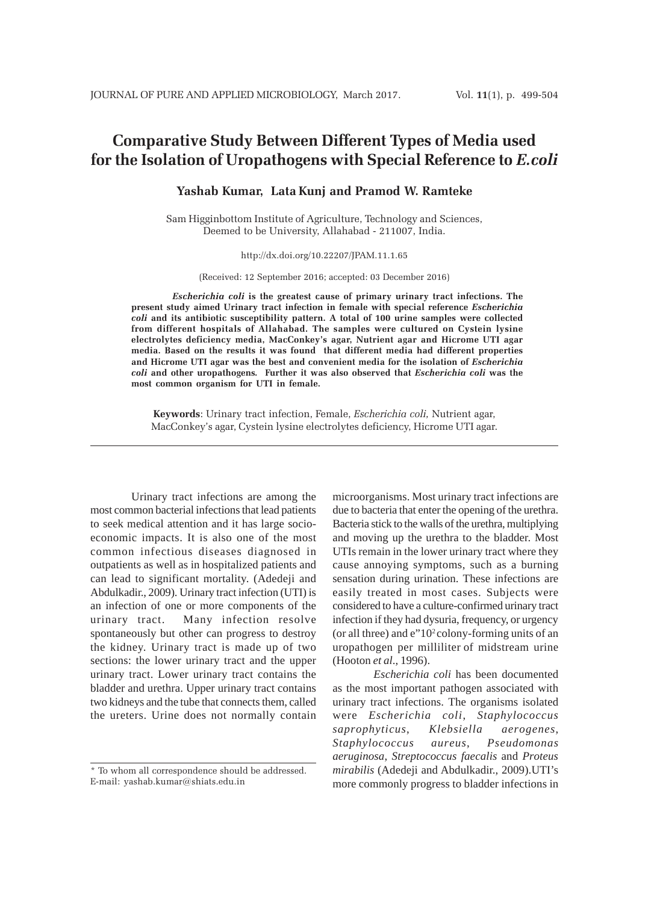# **Comparative Study Between Different Types of Media used for the Isolation of Uropathogens with Special Reference to** *E.coli*

## **Yashab Kumar, Lata Kunj and Pramod W. Ramteke**

Sam Higginbottom Institute of Agriculture, Technology and Sciences, Deemed to be University, Allahabad - 211007, India.

#### http://dx.doi.org/10.22207/JPAM.11.1.65

(Received: 12 September 2016; accepted: 03 December 2016)

*Escherichia coli* **is the greatest cause of primary urinary tract infections. The present study aimed Urinary tract infection in female with special reference** *Escherichia coli* **and its antibiotic susceptibility pattern. A total of 100 urine samples were collected from different hospitals of Allahabad. The samples were cultured on Cystein lysine electrolytes deficiency media, MacConkey's agar, Nutrient agar and Hicrome UTI agar media. Based on the results it was found that different media had different properties and Hicrome UTI agar was the best and convenient media for the isolation of** *Escherichia coli* **and other uropathogens***.* **Further it was also observed that** *Escherichia coli* **was the most common organism for UTI in female.**

**Keywords**: Urinary tract infection, Female, *Escherichia coli,* Nutrient agar, MacConkey's agar, Cystein lysine electrolytes deficiency, Hicrome UTI agar.

Urinary tract infections are among the most common bacterial infections that lead patients to seek medical attention and it has large socioeconomic impacts. It is also one of the most common infectious diseases diagnosed in outpatients as well as in hospitalized patients and can lead to significant mortality. (Adedeji and Abdulkadir., 2009). Urinary tract infection (UTI) is an infection of one or more components of the urinary tract. Many infection resolve spontaneously but other can progress to destroy the kidney. Urinary tract is made up of two sections: the lower urinary tract and the upper urinary tract. Lower urinary tract contains the bladder and urethra. Upper urinary tract contains two kidneys and the tube that connects them, called the ureters. Urine does not normally contain

microorganisms. Most urinary tract infections are due to bacteria that enter the opening of the urethra. Bacteria stick to the walls of the urethra, multiplying and moving up the urethra to the bladder. Most UTIs remain in the lower urinary tract where they cause annoying symptoms, such as a burning sensation during urination. These infections are easily treated in most cases. Subjects were considered to have a culture-confirmed urinary tract infection if they had dysuria, frequency, or urgency (or all three) and e"102 colony-forming units of an uropathogen per milliliter of midstream urine (Hooton *et al*., 1996).

*Escherichia coli* has been documented as the most important pathogen associated with urinary tract infections. The organisms isolated were *Escherichia coli*, *Staphylococcus saprophyticus*, *Klebsiella aerogenes*, *Staphylococcus aureus*, *Pseudomonas aeruginosa*, *Streptococcus faecalis* and *Proteus mirabilis* (Adedeji and Abdulkadir., 2009).UTI's more commonly progress to bladder infections in

<sup>\*</sup> To whom all correspondence should be addressed. E-mail: yashab.kumar@shiats.edu.in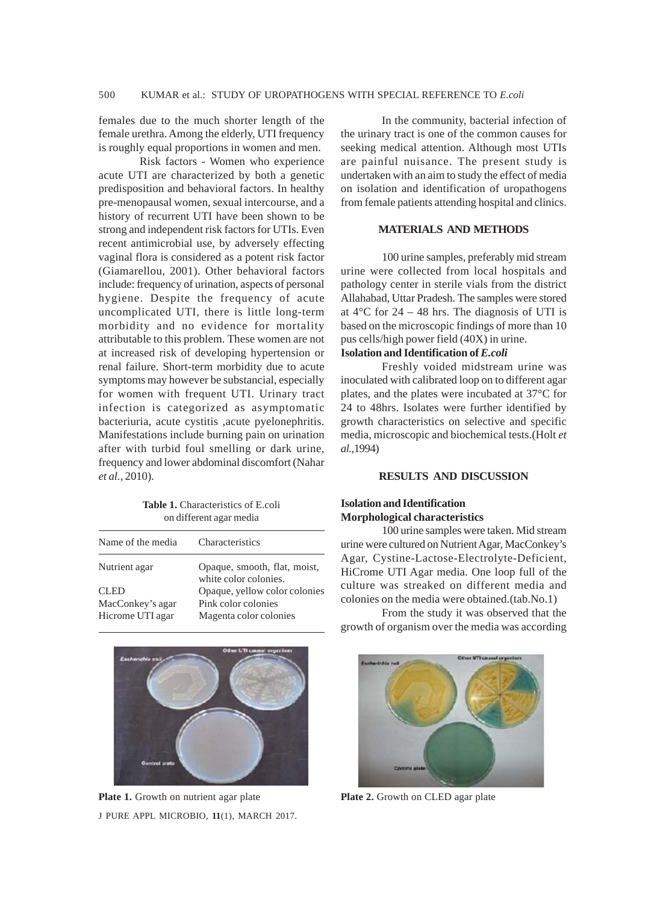females due to the much shorter length of the female urethra. Among the elderly, UTI frequency is roughly equal proportions in women and men.

Risk factors - Women who experience acute UTI are characterized by both a genetic predisposition and behavioral factors. In healthy pre-menopausal women, sexual intercourse, and a history of recurrent UTI have been shown to be strong and independent risk factors for UTIs. Even recent antimicrobial use, by adversely effecting vaginal flora is considered as a potent risk factor (Giamarellou, 2001). Other behavioral factors include: frequency of urination, aspects of personal hygiene. Despite the frequency of acute uncomplicated UTI, there is little long-term morbidity and no evidence for mortality attributable to this problem. These women are not at increased risk of developing hypertension or renal failure. Short-term morbidity due to acute symptoms may however be substancial, especially for women with frequent UTI. Urinary tract infection is categorized as asymptomatic bacteriuria, acute cystitis ,acute pyelonephritis. Manifestations include burning pain on urination after with turbid foul smelling or dark urine, frequency and lower abdominal discomfort (Nahar *et al.,* 2010).

**Table 1.** Characteristics of E.coli on different agar media

| Name of the media | Characteristics                                       |  |
|-------------------|-------------------------------------------------------|--|
| Nutrient agar     | Opaque, smooth, flat, moist,<br>white color colonies. |  |
| <b>CLED</b>       | Opaque, yellow color colonies                         |  |
| MacConkey's agar  | Pink color colonies                                   |  |
| Hicrome UTI agar  | Magenta color colonies                                |  |
|                   |                                                       |  |



J PURE APPL MICROBIO*,* **11**(1), MARCH 2017. **Plate 1.** Growth on nutrient agar plate **Plate 2.** Growth on CLED agar plate

In the community, bacterial infection of the urinary tract is one of the common causes for seeking medical attention. Although most UTIs are painful nuisance. The present study is undertaken with an aim to study the effect of media on isolation and identification of uropathogens from female patients attending hospital and clinics.

## **MATERIALS AND METHODS**

100 urine samples, preferably mid stream urine were collected from local hospitals and pathology center in sterile vials from the district Allahabad, Uttar Pradesh. The samples were stored at  $4^{\circ}$ C for 24 – 48 hrs. The diagnosis of UTI is based on the microscopic findings of more than 10 pus cells/high power field (40X) in urine.

# **Isolation and Identification of** *E.coli*

Freshly voided midstream urine was inoculated with calibrated loop on to different agar plates, and the plates were incubated at 37°C for 24 to 48hrs. Isolates were further identified by growth characteristics on selective and specific media, microscopic and biochemical tests.(Holt *et al.*,1994)

#### **RESULTS AND DISCUSSION**

#### **Isolation and Identification Morphological characteristics**

100 urine samples were taken. Mid stream urine were cultured on Nutrient Agar, MacConkey's Agar, Cystine-Lactose-Electrolyte-Deficient, HiCrome UTI Agar media. One loop full of the culture was streaked on different media and colonies on the media were obtained.(tab.No.1)

From the study it was observed that the growth of organism over the media was according

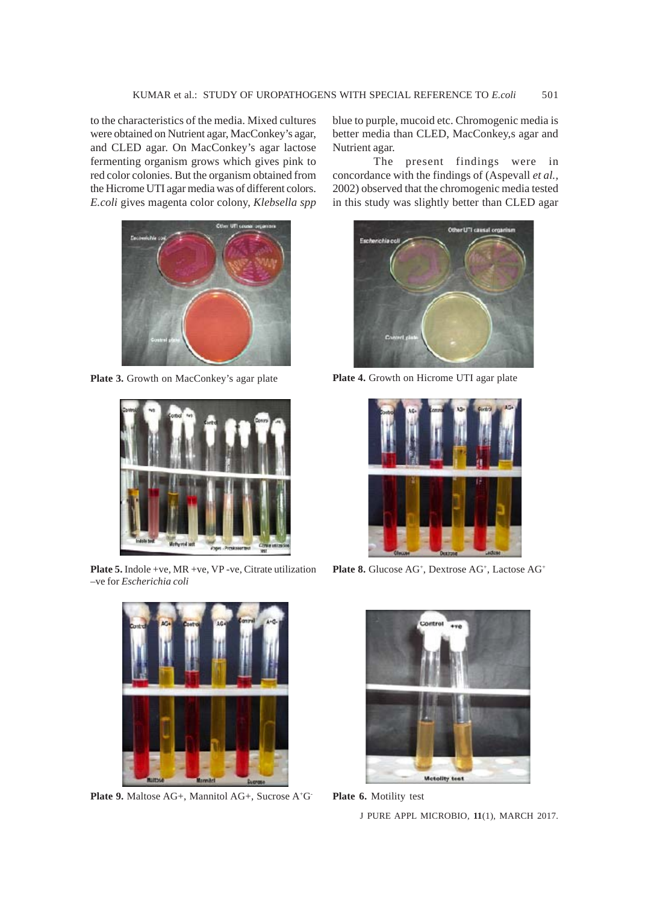to the characteristics of the media. Mixed cultures were obtained on Nutrient agar, MacConkey's agar, and CLED agar. On MacConkey's agar lactose fermenting organism grows which gives pink to red color colonies. But the organism obtained from the Hicrome UTI agar media was of different colors. *E.coli* gives magenta color colony, *Klebsella spp*



Plate 3. Growth on MacConkey's agar plate **Plate 4.** Growth on Hicrome UTI agar plate



**Plate 5.** Indole +ve, MR +ve, VP -ve, Citrate utilization –ve for *Escherichia coli*



**Plate 9.** Maltose AG+, Mannitol AG+, Sucrose A<sup>+</sup>G<sup>-</sup> **Plate 6.** Motility test

blue to purple, mucoid etc. Chromogenic media is better media than CLED, MacConkey,s agar and Nutrient agar.

The present findings were in concordance with the findings of (Aspevall *et al.,* 2002) observed that the chromogenic media tested in this study was slightly better than CLED agar





Plate 8. Glucose AG<sup>+</sup>, Dextrose AG<sup>+</sup>, Lactose AG<sup>+</sup>





J PURE APPL MICROBIO*,* **11**(1), MARCH 2017.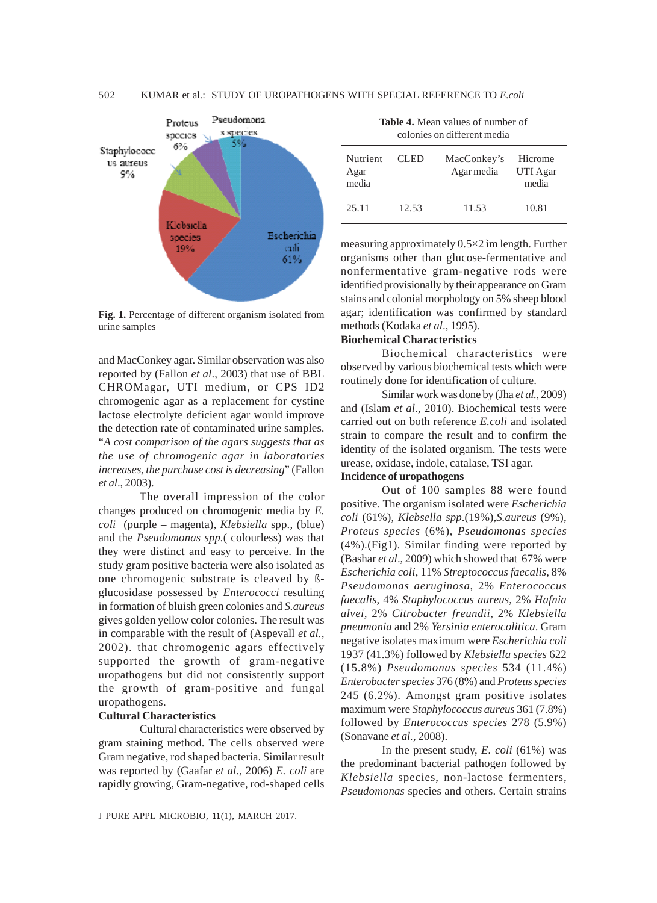

**Fig. 1.** Percentage of different organism isolated from urine samples

and MacConkey agar. Similar observation was also reported by (Fallon *et al*., 2003) that use of BBL CHROMagar, UTI medium, or CPS ID2 chromogenic agar as a replacement for cystine lactose electrolyte deficient agar would improve the detection rate of contaminated urine samples. "*A cost comparison of the agars suggests that as the use of chromogenic agar in laboratories increases, the purchase cost is decreasing*" (Fallon *et al*., 2003).

The overall impression of the color changes produced on chromogenic media by *E. coli* (purple – magenta), *Klebsiella* spp., (blue) and the *Pseudomonas spp.*( colourless) was that they were distinct and easy to perceive. In the study gram positive bacteria were also isolated as one chromogenic substrate is cleaved by ßglucosidase possessed by *Enterococci* resulting in formation of bluish green colonies and *S.aureus* gives golden yellow color colonies. The result was in comparable with the result of (Aspevall *et al.,* 2002). that chromogenic agars effectively supported the growth of gram-negative uropathogens but did not consistently support the growth of gram-positive and fungal uropathogens.

#### **Cultural Characteristics**

Cultural characteristics were observed by gram staining method. The cells observed were Gram negative, rod shaped bacteria. Similar result was reported by (Gaafar *et al.,* 2006) *E. coli* are rapidly growing, Gram-negative, rod-shaped cells

| <b>Table 4.</b> Mean values of number of |
|------------------------------------------|
| colonies on different media              |

| <b>Nutrient</b><br>Agar<br>media | CLED. | MacConkey's<br>Agar media | Hicrome<br>UTI Agar<br>media |
|----------------------------------|-------|---------------------------|------------------------------|
| 25.11                            | 12.53 | 11.53                     | 10.81                        |

measuring approximately 0.5×2 ìm length. Further organisms other than glucose-fermentative and nonfermentative gram-negative rods were identified provisionally by their appearance on Gram stains and colonial morphology on 5% sheep blood agar; identification was confirmed by standard methods (Kodaka *et al*., 1995).

## **Biochemical Characteristics**

Biochemical characteristics were observed by various biochemical tests which were routinely done for identification of culture.

Similar work was done by (Jha *et al.,* 2009) and (Islam *et al.,* 2010). Biochemical tests were carried out on both reference *E.coli* and isolated strain to compare the result and to confirm the identity of the isolated organism. The tests were urease, oxidase, indole, catalase, TSI agar.

#### **Incidence of uropathogens**

Out of 100 samples 88 were found positive. The organism isolated were *Escherichia coli* (61%), *Klebsella spp*.(19%),*S.aureus* (9%), *Proteus species* (6%), *Pseudomonas species* (4%).(Fig1). Similar finding were reported by (Bashar *et al*., 2009) which showed that 67% were *Escherichia coli*, 11% *Streptococcus faecalis*, 8% *Pseudomonas aeruginosa*, 2% *Enterococcus faecalis*, 4% *Staphylococcus aureus*, 2% *Hafnia alvei,* 2% *Citrobacter freundii*, 2% *Klebsiella pneumonia* and 2% *Yersinia enterocolitica*. Gram negative isolates maximum were *Escherichia coli* 1937 (41.3%) followed by *Klebsiella species* 622 (15.8%) *Pseudomonas species* 534 (11.4%) *Enterobacter species* 376 (8%) and *Proteus species* 245 (6.2%). Amongst gram positive isolates maximum were *Staphylococcus aureus* 361 (7.8%) followed by *Enterococcus species* 278 (5.9%) (Sonavane *et al.,* 2008).

In the present study, *E. coli* (61%) was the predominant bacterial pathogen followed by *Klebsiella* species, non-lactose fermenters, *Pseudomonas* species and others. Certain strains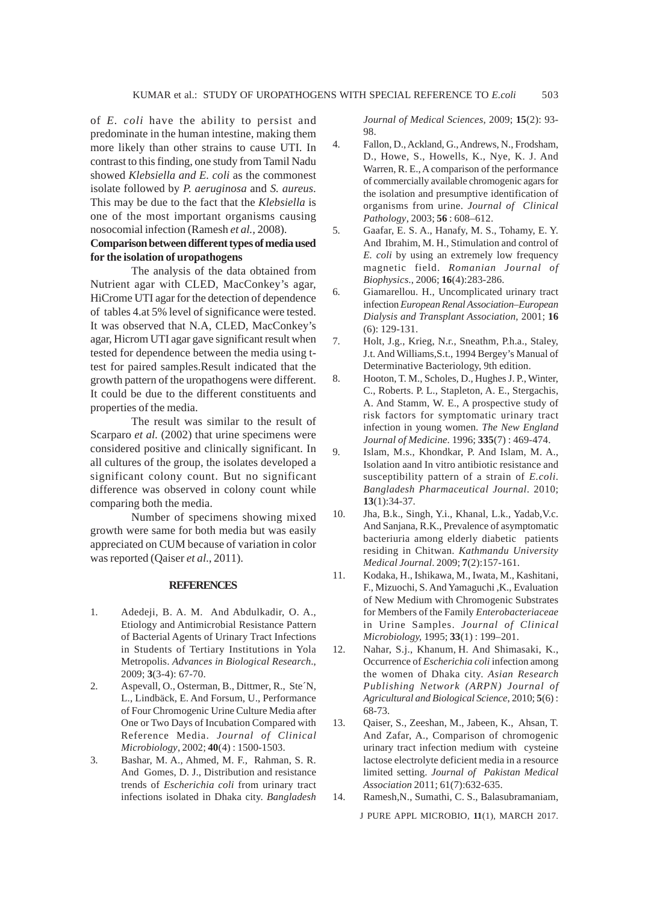of *E. coli* have the ability to persist and predominate in the human intestine, making them more likely than other strains to cause UTI. In contrast to this finding, one study from Tamil Nadu showed *Klebsiella and E. coli* as the commonest isolate followed by *P. aeruginosa* and *S. aureus*. This may be due to the fact that the *Klebsiella* is one of the most important organisms causing nosocomial infection (Ramesh *et al.,* 2008).

# **Comparison between different types of media used for the isolation of uropathogens**

The analysis of the data obtained from Nutrient agar with CLED, MacConkey's agar, HiCrome UTI agar for the detection of dependence of tables 4.at 5% level of significance were tested. It was observed that N.A, CLED, MacConkey's agar, Hicrom UTI agar gave significant result when tested for dependence between the media using ttest for paired samples.Result indicated that the growth pattern of the uropathogens were different. It could be due to the different constituents and properties of the media.

The result was similar to the result of Scarparo *et al.* (2002) that urine specimens were considered positive and clinically significant. In all cultures of the group, the isolates developed a significant colony count. But no significant difference was observed in colony count while comparing both the media.

Number of specimens showing mixed growth were same for both media but was easily appreciated on CUM because of variation in color was reported (Qaiser *et al*., 2011).

#### **REFERENCES**

- 1. Adedeji, B. A. M. And Abdulkadir, O. A., Etiology and Antimicrobial Resistance Pattern of Bacterial Agents of Urinary Tract Infections in Students of Tertiary Institutions in Yola Metropolis. *Advances in Biological Research*., 2009; **3**(3-4): 67-70.
- 2. Aspevall, O., Osterman, B., Dittmer, R., Ste´N, L., Lindbäck, E. And Forsum, U., Performance of Four Chromogenic Urine Culture Media after One or Two Days of Incubation Compared with Reference Media. *Journal of Clinical Microbiology*, 2002; **40**(4) : 1500-1503.
- 3. Bashar, M. A., Ahmed, M. F., Rahman, S. R. And Gomes, D. J., Distribution and resistance trends of *Escherichia coli* from urinary tract infections isolated in Dhaka city. *Bangladesh*

*Journal of Medical Sciences*, 2009; **15**(2): 93- 98.

- 4. Fallon, D., Ackland, G., Andrews, N., Frodsham, D., Howe, S., Howells, K., Nye, K. J. And Warren, R. E., A comparison of the performance of commercially available chromogenic agars for the isolation and presumptive identification of organisms from urine. *Journal of Clinical Pathology*, 2003; **56** : 608–612.
- 5. Gaafar, E. S. A., Hanafy, M. S., Tohamy, E. Y. And Ibrahim, M. H., Stimulation and control of *E. coli* by using an extremely low frequency magnetic field. *Romanian Journal of Biophysics*., 2006; **16**(4):283-286.
- 6. Giamarellou. H., Uncomplicated urinary tract infection *European Renal Association–European Dialysis and Transplant Association,* 2001; **16** (6): 129-131.
- 7. Holt, J.g., Krieg, N.r., Sneathm, P.h.a., Staley, J.t. And Williams,S.t., 1994 Bergey's Manual of Determinative Bacteriology, 9th edition.
- 8. Hooton, T. M., Scholes, D., Hughes J. P., Winter, C., Roberts. P. L., Stapleton, A. E., Stergachis, A. And Stamm, W. E., A prospective study of risk factors for symptomatic urinary tract infection in young women. *The New England Journal of Medicine*. 1996; **335**(7) : 469-474.
- 9. Islam, M.s., Khondkar, P. And Islam, M. A., Isolation aand In vitro antibiotic resistance and susceptibility pattern of a strain of *E.coli*. *Bangladesh Pharmaceutical Journal*. 2010; **13**(1):34-37.
- 10. Jha, B.k., Singh, Y.i., Khanal, L.k., Yadab,V.c. And Sanjana, R.K., Prevalence of asymptomatic bacteriuria among elderly diabetic patients residing in Chitwan. *Kathmandu University Medical Journal*. 2009; **7**(2):157-161.
- 11. Kodaka, H., Ishikawa, M., Iwata, M., Kashitani, F., Mizuochi, S. And Yamaguchi ,K., Evaluation of New Medium with Chromogenic Substrates for Members of the Family *Enterobacteriaceae* in Urine Samples. *Journal of Clinical Microbiology,* 1995; **33**(1) : 199–201.
- 12. Nahar, S.j., Khanum, H. And Shimasaki, K., Occurrence of *Escherichia coli* infection among the women of Dhaka city. *Asian Research Publishing Network (ARPN) Journal of Agricultural and Biological Science*, 2010; **5**(6) : 68-73.
- 13. Qaiser, S., Zeeshan, M., Jabeen, K., Ahsan, T. And Zafar, A., Comparison of chromogenic urinary tract infection medium with cysteine lactose electrolyte deficient media in a resource limited setting. *Journal of Pakistan Medical Association* 2011; 61(7):632-635.

14. Ramesh,N., Sumathi, C. S., Balasubramaniam,

J PURE APPL MICROBIO*,* **11**(1), MARCH 2017.